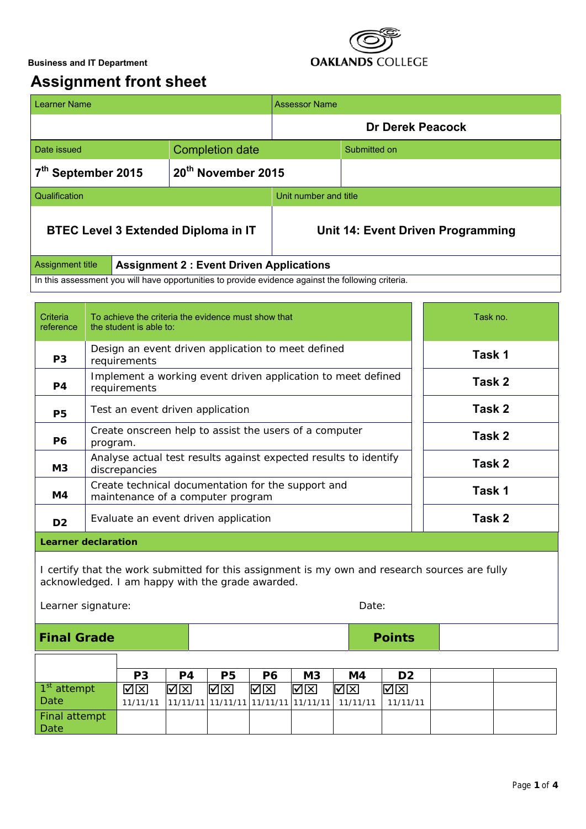

# **Assignment front sheet**

| <b>Learner Name</b>                                                                                |                        | <b>Assessor Name</b>              |              |  |  |
|----------------------------------------------------------------------------------------------------|------------------------|-----------------------------------|--------------|--|--|
|                                                                                                    |                        | <b>Dr Derek Peacock</b>           |              |  |  |
| Date issued                                                                                        | <b>Completion date</b> |                                   | Submitted on |  |  |
| 7 <sup>th</sup> September 2015                                                                     | 20th November 2015     |                                   |              |  |  |
| Qualification                                                                                      |                        | Unit number and title             |              |  |  |
| <b>BTEC Level 3 Extended Diploma in IT</b>                                                         |                        | Unit 14: Event Driven Programming |              |  |  |
| Assignment title<br><b>Assignment 2: Event Driven Applications</b>                                 |                        |                                   |              |  |  |
| In this assessment you will have opportunities to provide evidence against the following criteria. |                        |                                   |              |  |  |

| Criteria<br>reference      | To achieve the criteria the evidence must show that<br>the student is able to:          | Task no. |  |  |  |
|----------------------------|-----------------------------------------------------------------------------------------|----------|--|--|--|
| P <sub>3</sub>             | Design an event driven application to meet defined<br>requirements                      | Task 1   |  |  |  |
| P4                         | Implement a working event driven application to meet defined<br>requirements            | Task 2   |  |  |  |
| <b>P5</b>                  | Test an event driven application                                                        | Task 2   |  |  |  |
| <b>P6</b>                  | Create onscreen help to assist the users of a computer<br>program.                      | Task 2   |  |  |  |
| M <sub>3</sub>             | Analyse actual test results against expected results to identify<br>discrepancies       | Task 2   |  |  |  |
| M4                         | Create technical documentation for the support and<br>maintenance of a computer program | Task 1   |  |  |  |
| D <sub>2</sub>             | Evaluate an event driven application                                                    | Task 2   |  |  |  |
| <b>Learner declaration</b> |                                                                                         |          |  |  |  |

I certify that the work submitted for this assignment is my own and research sources are fully acknowledged. I am happy with the grade awarded.

Learner signature: Date: Date: Date: Date: Date: Date: Date: Date: Date: Date: Date: Date: Date: Date: Date: Date: Date: Date: Date: Date: Date: Date: Date: Date: Date: Date: Date: Date: Date: Date: Date: Date: Date: Date:

| <b>Final Grade</b>      |                |     |    |                   |                |                                                                                           | <b>Points</b>  |  |
|-------------------------|----------------|-----|----|-------------------|----------------|-------------------------------------------------------------------------------------------|----------------|--|
|                         |                |     |    |                   |                |                                                                                           |                |  |
|                         | P <sub>3</sub> | P4  | P5 | P6                | M <sub>3</sub> | M4                                                                                        | D <sub>2</sub> |  |
| 1 <sup>st</sup> attempt | ⊠⊠             | বোস | ⊠⊠ | $\nabla$ $\nabla$ | ∣ৰোস           | ∣ৰোস                                                                                      | l⊠lx           |  |
| Date                    | 11/11/11       |     |    |                   |                | $\left  \frac{11}{11/11/11} \right $ 11/11/11   11/11/11   11/11/11   11/11/11   11/11/11 |                |  |
| Final attempt           |                |     |    |                   |                |                                                                                           |                |  |
| Date                    |                |     |    |                   |                |                                                                                           |                |  |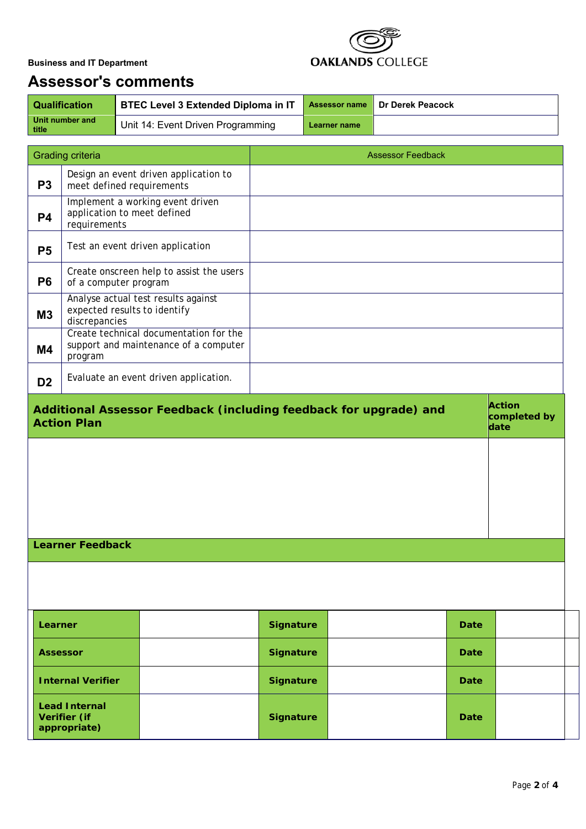

# **Assessor's comments**

| <b>Qualification</b>       | <b>BTEC Level 3 Extended Diploma in IT</b> |              | Assessor name   Dr Derek Peacock |
|----------------------------|--------------------------------------------|--------------|----------------------------------|
| Unit number and<br>  title | Unit 14: Event Driven Programming          | Learner name |                                  |

| <b>Grading criteria</b>                                                                                                          |                                                      |                                       | <b>Assessor Feedback</b> |  |             |  |  |
|----------------------------------------------------------------------------------------------------------------------------------|------------------------------------------------------|---------------------------------------|--------------------------|--|-------------|--|--|
| P <sub>3</sub>                                                                                                                   | meet defined requirements                            | Design an event driven application to |                          |  |             |  |  |
| Implement a working event driven<br>application to meet defined<br><b>P4</b><br>requirements                                     |                                                      |                                       |                          |  |             |  |  |
| Test an event driven application<br><b>P5</b>                                                                                    |                                                      |                                       |                          |  |             |  |  |
| Create onscreen help to assist the users<br><b>P6</b><br>of a computer program                                                   |                                                      |                                       |                          |  |             |  |  |
| Analyse actual test results against<br>expected results to identify<br>M3<br>discrepancies                                       |                                                      |                                       |                          |  |             |  |  |
| Create technical documentation for the<br>support and maintenance of a computer<br><b>M4</b><br>program                          |                                                      |                                       |                          |  |             |  |  |
| D <sub>2</sub>                                                                                                                   |                                                      | Evaluate an event driven application. |                          |  |             |  |  |
| <b>Action</b><br>Additional Assessor Feedback (including feedback for upgrade) and<br>completed by<br><b>Action Plan</b><br>date |                                                      |                                       |                          |  |             |  |  |
|                                                                                                                                  |                                                      |                                       |                          |  |             |  |  |
|                                                                                                                                  |                                                      |                                       |                          |  |             |  |  |
|                                                                                                                                  |                                                      |                                       |                          |  |             |  |  |
| <b>Learner Feedback</b>                                                                                                          |                                                      |                                       |                          |  |             |  |  |
|                                                                                                                                  |                                                      |                                       |                          |  |             |  |  |
|                                                                                                                                  |                                                      |                                       |                          |  |             |  |  |
| Learner                                                                                                                          |                                                      |                                       | <b>Signature</b>         |  | <b>Date</b> |  |  |
| <b>Assessor</b>                                                                                                                  |                                                      |                                       | <b>Signature</b>         |  | <b>Date</b> |  |  |
|                                                                                                                                  | <b>Internal Verifier</b>                             |                                       | <b>Signature</b>         |  | <b>Date</b> |  |  |
|                                                                                                                                  | <b>Lead Internal</b><br>Verifier (if<br>appropriate) |                                       | <b>Signature</b>         |  | Date        |  |  |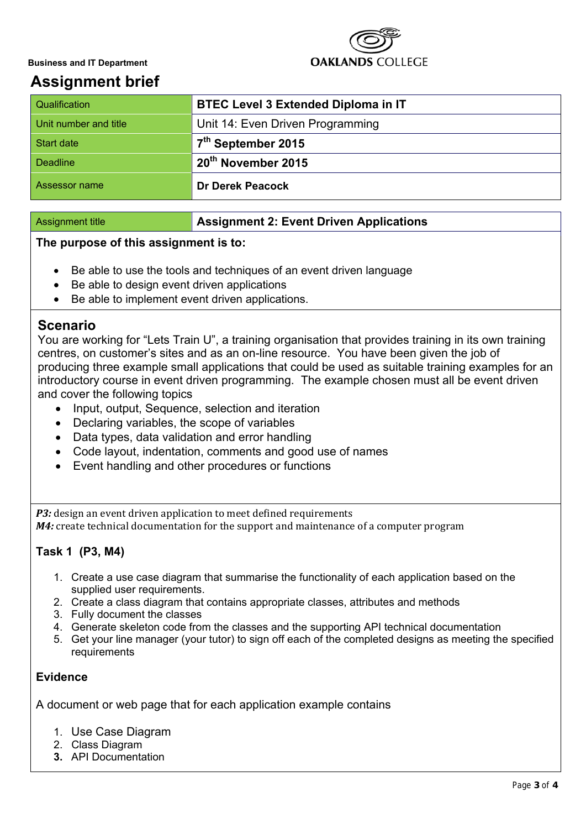

# **Assignment brief**

| Qualification         | <b>BTEC Level 3 Extended Diploma in IT</b> |
|-----------------------|--------------------------------------------|
| Unit number and title | Unit 14: Even Driven Programming           |
| <b>Start date</b>     | 7 <sup>th</sup> September 2015             |
| <b>Deadline</b>       | . 20 <sup>th</sup> November 2015           |
| Assessor name         | <b>Dr Derek Peacock</b>                    |

#### Assignment title **Assignment 2: Event Driven Applications**

#### **The purpose of this assignment is to:**

- Be able to use the tools and techniques of an event driven language
- Be able to design event driven applications
- Be able to implement event driven applications.

## **Scenario**

You are working for "Lets Train U", a training organisation that provides training in its own training centres, on customer's sites and as an on-line resource. You have been given the job of producing three example small applications that could be used as suitable training examples for an introductory course in event driven programming. The example chosen must all be event driven and cover the following topics

- Input, output, Sequence, selection and iteration
- Declaring variables, the scope of variables
- Data types, data validation and error handling
- Code layout, indentation, comments and good use of names
- Event handling and other procedures or functions

*P3:* design an event driven application to meet defined requirements *M4:* create technical documentation for the support and maintenance of a computer program

### **Task 1 (P3, M4)**

- 1. Create a use case diagram that summarise the functionality of each application based on the supplied user requirements.
- 2. Create a class diagram that contains appropriate classes, attributes and methods
- 3. Fully document the classes
- 4. Generate skeleton code from the classes and the supporting API technical documentation
- 5. Get your line manager (your tutor) to sign off each of the completed designs as meeting the specified requirements

### **Evidence**

A document or web page that for each application example contains

- 1. Use Case Diagram
- 2. Class Diagram
- **3.** API Documentation